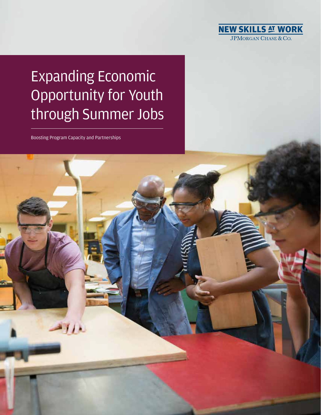

# Expanding Economic Opportunity for Youth through Summer Jobs

Boosting Program Capacity and Partnerships

 $11$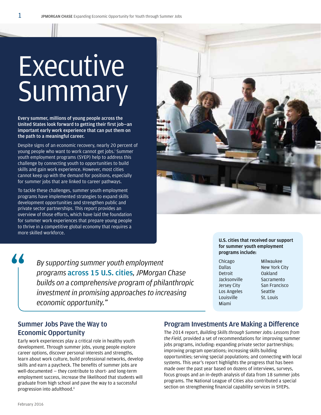# **Executive** Summary

**Every summer, millions of young people across the United States look forward to getting their first job—an important early work experience that can put them on the path to a meaningful career.** 

Despite signs of an economic recovery, nearly 20 percent of young people who want to work cannot get jobs.<sup>i</sup> Summer youth employment programs (SYEP) help to address this challenge by connecting youth to opportunities to build skills and gain work experience. However, most cities cannot keep up with the demand for positions, especially for summer jobs that are linked to career pathways.

To tackle these challenges, summer youth employment programs have implemented strategies to expand skills development opportunities and strengthen public and private sector partnerships. This report provides an overview of those efforts, which have laid the foundation for summer work experiences that prepare young people to thrive in a competitive global economy that requires a more skilled workforce.



*By supporting summer youth employment programs* **across 15 U.S. cities***, JPMorgan Chase builds on a comprehensive program of philanthropic investment in promising approaches to increasing economic opportunity."*

**U.S. cities that received our support for summer youth employment programs include:**

- Chicago Dallas Detroit Jacksonville Jersey City Los Angeles Louisville Miami
- Milwaukee New York City Oakland Sacramento San Francisco Seattle St. Louis

# **Summer Jobs Pave the Way to Economic Opportunity**

Early work experiences play a critical role in healthy youth development. Through summer jobs, young people explore career options, discover personal interests and strengths, learn about work culture, build professional networks, develop skills and earn a paycheck. The benefits of summer jobs are well-documented — they contribute to short- and long-term employment success, increase the likelihood that students will graduate from high school and pave the way to a successful progression into adulthood.<sup>ii</sup>

## **Program Investments Are Making a Difference**

The 2014 report, *Building Skills through Summer Jobs: Lessons from the Field*, provided a set of recommendations for improving summer jobs programs, including: expanding private sector partnerships; improving program operations; increasing skills building opportunities; serving special populations; and connecting with local systems. This year's report highlights the progress that has been made over the past year based on dozens of interviews, surveys, focus groups and an in-depth analysis of data from 18 summer jobs programs. The National League of Cities also contributed a special section on strengthening financial capability services in SYEPs.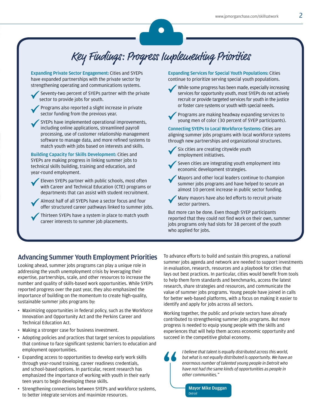# Key Findings: Progress Implementing Priorities

**Expanding Private Sector Engagement:** Cities and SYEPs have expanded partnerships with the private sector by strengthening operating and communications systems.

 Seventy-two percent of SYEPs partner with the private sector to provide jobs for youth.

Programs also reported a slight increase in private sector funding from the previous year.

SYEPs have implemented operational improvements, including online applications, streamlined payroll processing, use of customer relationship management software to manage data, and more refined systems to match youth with jobs based on interests and skills.

**Building Capacity for Skills Development:** Cities and SYEPs are making progress in linking summer jobs to technical skills building, training and education, and year-round employment.

Eleven SYEPs partner with public schools, most often with Career and Technical Education (CTE) programs or departments that can assist with student recruitment.

Almost half of all SYEPs have a sector focus and four offer structured career pathways linked to summer jobs.

Thirteen SYEPs have a system in place to match youth career interests to summer job placements.

**Expanding Services for Special Youth Populations:** Cities continue to prioritize serving special youth populations.



While some progress has been made, especially increasing services for opportunity youth, most SYEPs do not actively recruit or provide targeted services for youth in the justice or foster care systems or youth with special needs.



Programs are making headway expanding services to young men of color (30 percent of SYEP participants).

**Connecting SYEPs to Local Workforce Systems:** Cities are aligning summer jobs programs with local workforce systems through new partnerships and organizational structures.

Six cities are creating citywide youth employment initiatives.



Mayors and other local leaders continue to champion summer jobs programs and have helped to secure an almost 10 percent increase in public sector funding.

Many mayors have also led efforts to recruit private sector partners.

But more can be done. Even though SYEP participants reported that they could not find work on their own, summer jobs programs only had slots for 38 percent of the youth who applied for jobs.

### **Advancing Summer Youth Employment Priorities**

Looking ahead, summer jobs programs can play a unique role in addressing the youth unemployment crisis by leveraging their expertise, partnerships, scale, and other resources to increase the number and quality of skills-based work opportunities. While SYEPs reported progress over the past year, they also emphasized the importance of building on the momentum to create high-quality, sustainable summer jobs programs by:

- Maximizing opportunities in federal policy, such as the Workforce Innovation and Opportunity Act and the Perkins Career and Technical Education Act.
- Making a stronger case for business investment.
- Adopting policies and practices that target services to populations that continue to face significant systemic barriers to education and employment opportunities.
- Expanding access to opportunities to develop early work skills through year-round training, career readiness credentials, and school-based options. In particular, recent research has emphasized the importance of working with youth in their early teen years to begin developing these skills.
- Strengthening connections between SYEPs and workforce systems, to better integrate services and maximize resources.

To advance efforts to build and sustain this progress, a national summer jobs agenda and network are needed to support investments in evaluation, research, resources and a playbook for cities that lays out best practices. In particular, cities would benefit from tools to help them form standards and benchmarks, access the latest research, share strategies and resources, and communicate the value of summer jobs programs. Young people have joined in calls for better web-based platforms, with a focus on making it easier to identify and apply for jobs across all sectors.

Working together, the public and private sectors have already contributed to strengthening summer jobs programs. But more progress is needed to equip young people with the skills and experiences that will help them access economic opportunity and succeed in the competitive global economy.



*I believe that talent is equally distributed across this world, but what is not equally distributed is opportunity. We have an enormous number of talented young people in Detroit who have not had the same kinds of opportunities as people in other communities."*

**Mayor Mike Duggan** *Detroit*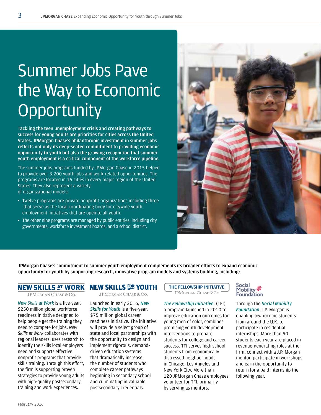# Summer Jobs Pave the Way to Economic **Opportunity**

**Tackling the teen unemployment crisis and creating pathways to success for young adults are priorities for cities across the United States. JPMorgan Chase's philanthropic investment in summer jobs reflects not only its deep-seated commitment to providing economic opportunity to youth but also the growing recognition that summer youth employment is a critical component of the workforce pipeline.** 

The summer jobs programs funded by JPMorgan Chase in 2015 helped to provide over 3,200 youth jobs and work-related opportunities. The programs are located in 15 cities in every major region of the United States. They also represent a variety of organizational models:

- Twelve programs are private nonprofit organizations including three that serve as the local coordinating body for citywide youth employment initiatives that are open to all youth.
- The other nine programs are managed by public entities, including city governments, workforce investment boards, and a school district.



**JPMorgan Chase's commitment to summer youth employment complements its broader efforts to expand economic opportunity for youth by supporting research, innovative program models and systems building, including:**

## **NEW SKILLS AT WORK**

**JPMORGAN CHASE & CO.** 

*New Skills at Work* is a five-year, \$250 million global workforce readiness initiative designed to help people get the training they need to compete for jobs. *New Skills at Work* collaborates with regional leaders, uses research to identify the skills local employers need and supports effective nonprofit programs that provide skills training. Through this effort, the firm is supporting proven strategies to provide young adults with high-quality postsecondary training and work experiences.

# **NEW SKILLS EOR YOUTH**

**JPMORGAN CHASE & CO.** 

Launched in early 2016, *New Skills for Youth* is a five-year, \$75 million global career readiness initiative. The initiative will provide a select group of state and local partnerships with the opportunity to design and implement rigorous, demanddriven education systems that dramatically increase the number of students who complete career pathways beginning in secondary school and culminating in valuable postsecondary credentials.

**THE FELLOWSHIP INITIATIVE**JPMORGAN CHASE & CO.

### *The Fellowship Initiative*, (TFI)

a program launched in 2010 to improve education outcomes for young men of color, combines promising youth development interventions to prepare students for college and career success. TFI serves high school students from economically distressed neighborhoods in Chicago, Los Angeles and New York City. More than 120 JPMorgan Chase employees volunteer for TFI, primarily by serving as mentors.

## Social<br>Mobility ※ Foundation

### Through the *Social Mobility Foundation*, J.P. Morgan is

enabling low-income students from around the U.K. to participate in residential internships. More than 50 students each year are placed in revenue-generating roles at the firm, connect with a J.P. Morgan mentor, participate in workshops and earn the opportunity to return for a paid internship the following year.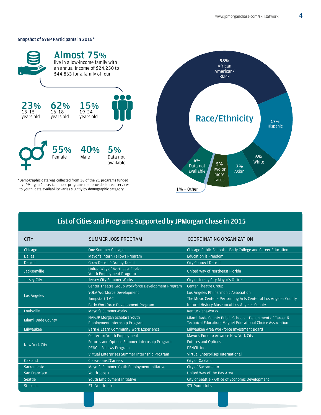### **Snapshot of SYEP Participants in 2015\***



# **List of Cities and Programs Supported by JPMorgan Chase in 2015**

| <b>CITY</b>          | SUMMER JOBS PROGRAM                                                     | COORDINATING ORGANIZATION                                                                                               |
|----------------------|-------------------------------------------------------------------------|-------------------------------------------------------------------------------------------------------------------------|
| Chicago              | One Summer Chicago                                                      | Chicago Public Schools - Early College and Career Education                                                             |
| <b>Dallas</b>        | Mayor's Intern Fellows Program                                          | <b>Education is Freedom</b>                                                                                             |
| <b>Detroit</b>       | Grow Detroit's Young Talent                                             | <b>City Connect Detroit</b>                                                                                             |
| Jacksonville         | United Way of Northeast Florida<br>Youth Employment Program             | United Way of Northeast Florida                                                                                         |
| Jersey City          | <b>Jersey City Summer Works</b>                                         | City of Jersey City Mayor's Office                                                                                      |
| Los Angeles          | Center Theatre Group Workforce Development Program                      | <b>Center Theatre Group</b>                                                                                             |
|                      | <b>YOLA Workforce Development</b>                                       | Los Angeles Philharmonic Association                                                                                    |
|                      | Jumpstart TMC                                                           | The Music Center - Performing Arts Center of Los Angeles County                                                         |
|                      | Early Workforce Development Program                                     | Natural History Museum of Los Angeles County                                                                            |
| Louisville           | <b>Mayor's SummerWorks</b>                                              | <b>KentuckianaWorks</b>                                                                                                 |
| Miami-Dade County    | NAF/JP Morgan Scholars Youth                                            | Miami-Dade County Public Schools - Department of Career &<br>Technical Education; Magnet Educational Choice Association |
| Milwaukee            | Employment Internship Program<br>Earn & Learn Community Work Experience | Milwaukee Area Workforce Investment Board                                                                               |
|                      |                                                                         |                                                                                                                         |
| <b>New York City</b> | Center for Youth Employment                                             | Mayor's Fund to Advance New York City                                                                                   |
|                      | <b>Futures and Options Summer Internship Program</b>                    | <b>Futures and Options</b>                                                                                              |
|                      | <b>PENCIL Fellows Program</b>                                           | PENCIL Inc.                                                                                                             |
|                      | Virtual Enterprises Summer Internship Program                           | Virtual Enterprises International                                                                                       |
| Oakland              | Classrooms2Careers                                                      | City of Oakland                                                                                                         |
| Sacramento           | Mayor's Summer Youth Employment Initiative                              | City of Sacramento                                                                                                      |
| San Francisco        | Youth Jobs +                                                            | United Way of the Bay Area                                                                                              |
| Seattle              | <b>Youth Employment Initiative</b>                                      | City of Seattle - Office of Economic Development                                                                        |
| St. Louis            | <b>STL Youth Jobs</b>                                                   | <b>STL Youth Jobs</b>                                                                                                   |
|                      |                                                                         |                                                                                                                         |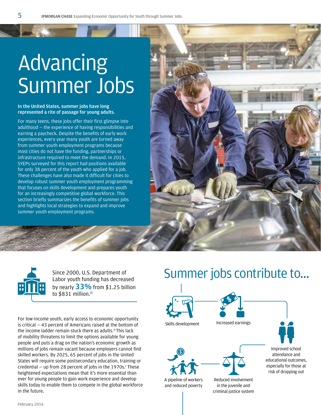# Advancing Summer Jobs

### **In the United States, summer jobs have long represented a rite of passage for young adults.**

For many teens, these jobs offer their first glimpse into adulthood — the experience of having responsibilities and earning a paycheck. Despite the benefits of early work experiences, every year many youth are turned away from summer youth employment programs because most cities do not have the funding, partnerships or infrastructure required to meet the demand. In 2015, SYEPs surveyed for this report had positions available for only 38 percent of the youth who applied for a job. These challenges have also made it difficult for cities to develop robust summer youth employment programming that focuses on skills development and prepares youth for an increasingly competitive global workforce. This section briefly summarizes the benefits of summer jobs and highlights local strategies to expand and improve summer youth employment programs.





Labor youth funding has decreased by nearly **33%** from \$1.25 billion to \$831 million.iii

For low-income youth, early access to economic opportunity is critical — 43 percent of Americans raised at the bottom of the income ladder remain stuck there as adults.<sup>iv</sup> This lack of mobility threatens to limit the options available for young people and puts a drag on the nation's economic growth as millions of jobs remain vacant because employers cannot find skilled workers. By 2025, 65 percent of jobs in the United States will require some postsecondary education, training or credential  $-$  up from 28 percent of jobs in the 1970s. $v$  These heightened expectations mean that it's more essential than ever for young people to gain work experience and develop skills today to enable them to compete in the global workforce in the future.

# Since 2000, U.S. Department of **Summer** jobs contribute to...







A pipeline of workers and reduced poverty

Skills development lncreased earnings



Reduced involvement in the juvenile and criminal justice system

Improved school attendance and educational outcomes, especially for those at risk of dropping out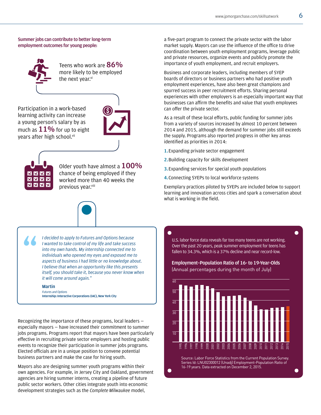### **Summer jobs can contribute to better long-term employment outcomes for young people:**



Teens who work are **86%** more likely to be employed the next year.vi

Participation in a work-based learning activity can increase a young person's salary by as much as **11%** for up to eight vears after high school.<sup>vii</sup>





Older youth have almost a **100%** chance of being employed if they worked more than 40 weeks the previous year.viii



*I decided to apply to Futures and Options because I wanted to take control of my life and take success into my own hands. My internship connected me to individuals who opened my eyes and exposed me to aspects of business I had little or no knowledge about. I believe that when an opportunity like this presents itself, you should take it, because you never know when it will come around again."*

### **Martin**

*Futures and Options*  **Internship: Interactive Corporations (IAC), New York City**

Recognizing the importance of these programs, local leaders especially mayors — have increased their commitment to summer jobs programs. Programs report that mayors have been particularly effective in recruiting private sector employers and hosting public events to recognize their participation in summer jobs programs. Elected officials are in a unique position to convene potential business partners and make the case for hiring youth.

Mayors also are designing summer youth programs within their own agencies. For example, in Jersey City and Oakland, government agencies are hiring summer interns, creating a pipeline of future public sector workers. Other cities integrate youth into economic development strategies such as the *Complete Milwaukee* model,

a five-part program to connect the private sector with the labor market supply. Mayors can use the influence of the office to drive coordination between youth employment programs, leverage public and private resources, organize events and publicly promote the importance of youth employment, and recruit employers.

Business and corporate leaders, including members of SYEP boards of directors or business partners who had positive youth employment experiences, have also been great champions and spurred success in peer recruitment efforts. Sharing personal experiences with other employers is an especially important way that businesses can affirm the benefits and value that youth employees can offer the private sector.

As a result of these local efforts, public funding for summer jobs from a variety of sources increased by almost 10 percent between 2014 and 2015, although the demand for summer jobs still exceeds the supply. Programs also reported progress in other key areas identified as priorities in 2014:

- **1.**Expanding private sector engagement
- **2.**Building capacity for skills development
- **3.**Expanding services for special youth populations
- **4.**Connecting SYEPs to local workforce systems

Exemplary practices piloted by SYEPs are included below to support learning and innovation across cities and spark a conversation about what is working in the field.

U.S. labor force data reveals far too many teens are not working. Over the past 20 years, peak summer employment for teens has fallen to 34.3%, which is a 37% decline and near record-low.

### Employment–Population Ratio of 16- to 19-Year-Olds (Annual percentages during the month of July)

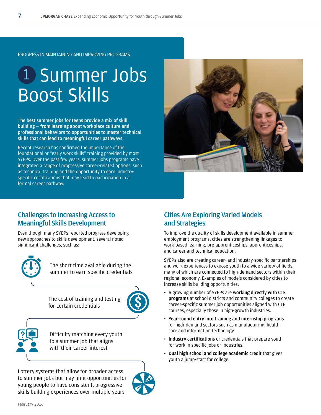# 1 Summer Jobs Boost Skills

**The best summer jobs for teens provide a mix of skill building — from learning about workplace culture and professional behaviors to opportunities to master technical skills that can lead to meaningful career pathways.**

Recent research has confirmed the importance of the foundational or "early work skills" training provided by most SYEPs. Over the past few years, summer jobs programs have integrated a range of progressive career-related options, such as technical training and the opportunity to earn industryspecific certifications that may lead to participation in a formal career pathway.



# **Challenges to Increasing Access to Meaningful Skills Development**

Even though many SYEPs reported progress developing new approaches to skills development, several noted significant challenges, such as:



The short time available during the summer to earn specific credentials

The cost of training and testing for certain credentials



Difficulty matching every youth to a summer job that aligns with their career interest

Lottery systems that allow for broader access to summer jobs but may limit opportunities for young people to have consistent, progressive skills building experiences over multiple years



## **Cities Are Exploring Varied Models and Strategies**

To improve the quality of skills development available in summer employment programs, cities are strengthening linkages to work-based learning, pre-apprenticeships, apprenticeships, and career and technical education.

SYEPs also are creating career- and industry-specific partnerships and work experiences to expose youth to a wide variety of fields, many of which are connected to high-demand sectors within their regional economy. Examples of models considered by cities to increase skills building opportunities:

- A growing number of SYEPs are **working directly with CTE programs** at school districts and community colleges to create career-specific summer job opportunities aligned with CTE courses, especially those in high-growth industries.
- **Year-round entry into training and internship programs** for high-demand sectors such as manufacturing, health care and information technology.
- **Industry certifications** or credentials that prepare youth for work in specific jobs or industries.
- **Dual high school and college academic credit** that gives youth a jump-start for college.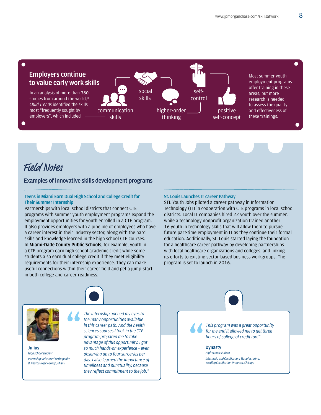

# Field Notes

### **Examples of innovative skills development programs**

### **Teens in Miami Earn Dual High School and College Credit for Their Summer Internship**

Partnerships with local school districts that connect CTE programs with summer youth employment programs expand the employment opportunities for youth enrolled in a CTE program. It also provides employers with a pipeline of employees who have a career interest in their industry sector, along with the hard skills and knowledge learned in the high school CTE courses. In **Miami-Dade County Public Schools**, for example, youth in a CTE program earn high school academic credit while some students also earn dual college credit if they meet eligibility requirements for their internship experience. They can make useful connections within their career field and get a jump-start in both college and career readiness.

#### **St. Louis Launches IT career Pathway**

STL Youth Jobs piloted a career pathway in Information Technology (IT) in cooperation with CTE programs in local school districts. Local IT companies hired 22 youth over the summer, while a technology nonprofit organization trained another 16 youth in technology skills that will allow them to pursue future part-time employment in IT as they continue their formal education. Additionally, St. Louis started laying the foundation for a healthcare career pathway by developing partnerships with local healthcare organizations and colleges, and linking its efforts to existing sector-based business workgroups. The program is set to launch in 2016.



**Julius** *High school student Internship: Advanced Orthopedics & Neurosurgery Group, Miami*

*The internship opened my eyes to the many opportunities available in this career path. And the health sciences courses I took in the CTE program prepared me to take advantage of this opportunity. I got so much hands-on experience – even observing up to four surgeries per day. I also learned the importance of timeliness and punctuality, because they reflect commitment to the job."*

*This program was a great opportunity for me and it allowed me to get three hours of college of credit too!"*

**Dynasty** *High school student Internship and Certification: Manufacturing, Welding Certification Program, Chicago*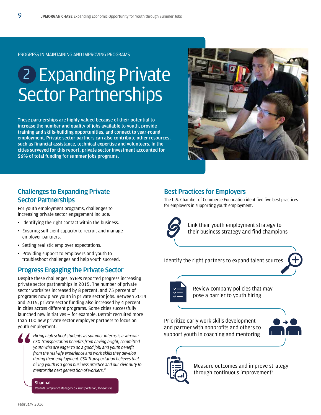# 2 Expanding Private Sector Partnerships

**These partnerships are highly valued because of their potential to increase the number and quality of jobs available to youth, provide training and skills-building opportunities, and connect to year-round employment. Private sector partners can also contribute other resources, such as financial assistance, technical expertise and volunteers. In the cities surveyed for this report, private sector investment accounted for 56% of total funding for summer jobs programs.**



# **Challenges to Expanding Private Sector Partnerships**

For youth employment programs, challenges to increasing private sector engagement include:

- Identifying the right contact within the business.
- Ensuring sufficient capacity to recruit and manage employer partners.
- Setting realistic employer expectations.
- Providing support to employers and youth to troubleshoot challenges and help youth succeed.

# **Progress Engaging the Private Sector**

Despite these challenges, SYEPs reported progress increasing private sector partnerships in 2015. The number of private sector worksites increased by 8 percent, and 75 percent of programs now place youth in private sector jobs. Between 2014 and 2015, private sector funding also increased by 4 percent in cities across different programs. Some cities successfully launched new initiatives — for example, Detroit recruited more than 100 new private sector employer partners to focus on youth employment.



*Hiring high school students as summer interns is a win-win. CSX Transportation benefits from having bright, committed youth who are eager to do a good job; and youth benefit from the real-life experience and work skills they develop during their employment. CSX Transportation believes that hiring youth is a good business practice and our civic duty to mentor the next generation of workers."*

**Shannal** *Records Compliance Manager CSX Transportation, Jacksonville*

### **Best Practices for Employers**

The U.S. Chamber of Commerce Foundation identified five best practices for employers in supporting youth employment.



Link their youth employment strategy to their business strategy and find champions

Identify the right partners to expand talent sources



Review company policies that may pose a barrier to youth hiring

Prioritize early work skills development and partner with nonprofits and others to support youth in coaching and mentoring





Measure outcomes and improve strategy through continuous improvement $x$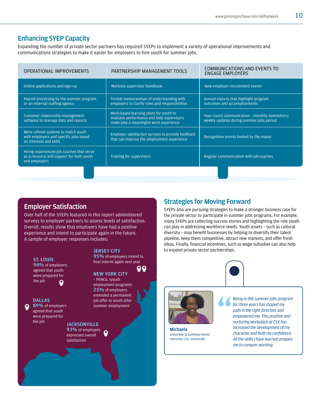# **Enhancing SYEP Capacity**

Expanding the number of private sector partners has required SYEPs to implement a variety of operational improvements and communications strategies to make it easier for employers to hire youth for summer jobs.

| OPERATIONAL IMPROVEMENTS                                                                                 | PARTNERSHIP MANAGEMENT TOOLS                                                                                                  | <b>COMMUNICATIONS AND EVENTS TO</b><br><b>ENGAGE EMPLOYERS</b>                              |
|----------------------------------------------------------------------------------------------------------|-------------------------------------------------------------------------------------------------------------------------------|---------------------------------------------------------------------------------------------|
| Online applications and sign-up                                                                          | Worksite supervisor handbook                                                                                                  | New employer recruitment events                                                             |
| Payroll processing by the summer program<br>or an external staffing agency                               | Formal memorandum of understanding with<br>employers to clarify roles and responsibilities                                    | Annual reports that highlight program<br>outcomes and accomplishments                       |
| Customer relationship management<br>software to manage data and reports                                  | Work-based learning plans for youth to<br>evaluate performance and help supervisors<br>make jobs a meaningful work experience | Year-round communication - monthly newsletters:<br>weekly updates during summer jobs period |
| More refined systems to match youth<br>with employers and specific jobs based<br>on interests and skills | Employer satisfaction surveys to provide feedback<br>that can improve the employment experience                               | Recognition events hosted by the mayor                                                      |
| Hiring experienced job coaches that serve<br>as a resource and support for both youth<br>and employers   | Training for supervisors                                                                                                      | Regular communication with job coaches                                                      |
|                                                                                                          |                                                                                                                               |                                                                                             |

# **Employer Satisfaction**

Over half of the SYEPs featured in this report administered surveys to employer partners to assess levels of satisfaction. Overall, results show that employers have had a positive experience and intend to participate again in the future. A sample of employer responses includes:



# **Strategies for Moving Forward**

SYEPs also are pursuing strategies to make a stronger business case for the private sector to participate in summer jobs programs. For example, many SYEPs are collecting success stories and highlighting the role youth can play in addressing workforce needs. Youth assets – such as cultural diversity – may benefit businesses by helping to diversify their talent pipeline, keep them competitive, attract new markets, and offer fresh ideas. Finally, financial incentives, such as wage subsidies can also help to expand private sector partnerships.





**Michaela** *United Way of Southeast Florida Internship: CSX, Jacksonville*

*Being in this summer jobs program for three years has shaped my path in the right direction and empowered me. This positive and nurturing workplace at CSX has increased the development of my character and built my confidence. All the skills I have learned prepare me to conquer working.*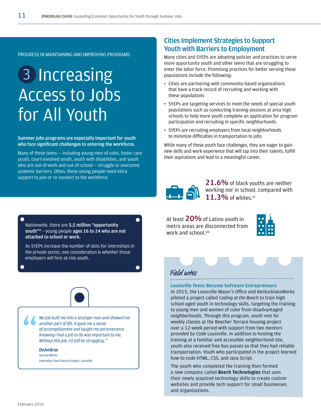# 3 Increasing Access to Jobs for All Youth

**Summer jobs programs are especially important for youth who face significant challenges to entering the workforce.** 

Many of these teens — including young men of color, foster care youth, court-involved youth, youth with disabilities, and youth who are out-of-work and out-of-school — struggle to overcome systemic barriers. Often, these young people need extra support to join or re-connect to the workforce.

# **Cities Implement Strategies to Support Youth with Barriers to Employment**

Many cities and SYEPs are adopting policies and practices to serve more opportunity youth and other teens that are struggling to enter the labor force. Promising practices for better serving these populations include the following:

- Cities are partnering with community-based organizations that have a track record of recruiting and working with these populations
- SYEPs are targeting services to meet the needs of special youth populations such as conducting training sessions at area high schools to help more youth complete an application for program participation and recruiting in specific neighborhoods
- SYEPs are recruiting employers from local neighborhoods to minimize difficulties in transportation to jobs

While many of these youth face challenges, they are eager to gain new skills and work experience that will tap into their talents, fulfill their aspirations and lead to a meaningful career.



**21.6%** of black youths are neither working nor in school, compared with **11.3%** of whites.xii

At least **20%** of Latino youth in metro areas are disconnected from work and school.xiii



Nationwide, there are **5.5 million "opportunity youth"xi** – young people **ages 16 to 24 who are not attached to school or work.** 

As SYEPs increase the number of slots for internships in the private sector, one consideration is whether those employers will hire at-risk youth.



*My job built me into a stronger man and showed me another part of life. It gave me a sense of accomplishment and taught me perseverance. Knowing I had a job to do was important to me. Without this job, I'd still be struggling."*

### **DeAndrae**

*SummerWorks Internship: Food Literacy Project, Louisville* Field notes

### **Louisville Teens Become Software Entrepreneurs**

In 2015, the Louisville Mayor's Office and KentuckianaWorks piloted a project called *Coding at the Beech* to train high school-aged youth in technology skills, targeting the training to young men and women of color from disadvantaged neighborhoods. Through this program, youth met for weekly classes at the Beecher Terrace housing project over a 12-week period with support from two mentors provided by Code Louisville. In addition to hosting the training at a familiar and accessible neighborhood site, youth also received free bus passes so that they had reliable transportation. Youth who participated in the project learned how to code HTML, CSS, and Java Script.

The youth who completed the training then formed a new company called **Beech Technologies** that uses their newly acquired technology skills to create custom websites and provide tech support for small businesses and organizations.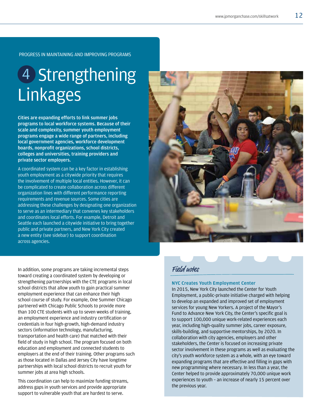# 4 Strengthening Linkages

**Cities are expanding efforts to link summer jobs programs to local workforce systems. Because of their scale and complexity, summer youth employment programs engage a wide range of partners, including local government agencies, workforce development boards, nonprofit organizations, school districts, colleges and universities, training providers and private sector employers.** 

A coordinated system can be a key factor in establishing youth employment as a citywide priority that requires the involvement of multiple local entities. However, it can be complicated to create collaboration across different organization lines with different performance reporting requirements and revenue sources. Some cities are addressing these challenges by designating one organization to serve as an intermediary that convenes key stakeholders and coordinates local efforts. For example, Detroit and Seattle each launched a citywide initiative to bring together public and private partners, and New York City created a new entity (see sidebar) to support coordination across agencies.

In addition, some programs are taking incremental steps toward creating a coordinated system by developing or strengthening partnerships with the CTE programs in local school districts that allow youth to gain practical summer employment experience that can enhance their high school course of study. For example, One Summer Chicago partnered with Chicago Public Schools to provide more than 100 CTE students with up to seven weeks of training, an employment experience and industry certification or credentials in four high-growth, high-demand industry sectors (information technology, manufacturing, transportation and health care) that matched with their field of study in high school. The program focused on both education and employment and connected students to employers at the end of their training. Other programs such as those located in Dallas and Jersey City have longtime partnerships with local school districts to recruit youth for summer jobs at area high schools.

This coordination can help to maximize funding streams, address gaps in youth services and provide appropriate support to vulnerable youth that are hardest to serve.



### **NYC Creates Youth Employment Center**

In 2015, New York City launched the Center for Youth Employment, a public-private initiative charged with helping to develop an expanded and improved set of employment services for young New Yorkers. A project of the Mayor's Fund to Advance New York City, the Center's specific goal is to support 100,000 unique work-related experiences each year, including high-quality summer jobs, career exposure, skills-building, and supportive mentorships, by 2020. In collaboration with city agencies, employers and other stakeholders, the Center is focused on increasing private sector involvement in these programs as well as evaluating the city's youth workforce system as a whole, with an eye toward expanding programs that are effective and filling in gaps with new programming where necessary. In less than a year, the Center helped to provide approximately 70,000 unique work experiences to youth – an increase of nearly 15 percent over the previous year.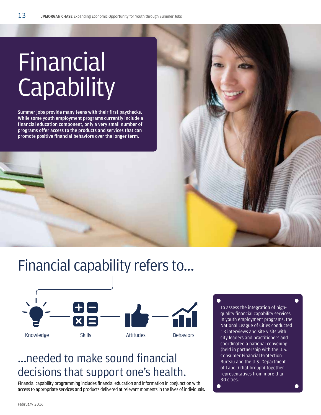# **Financial Capability**

**Summer jobs provide many teens with their first paychecks. While some youth employment programs currently include a financial education component, only a very small number of programs offer access to the products and services that can promote positive financial behaviors over the longer term.** 





# ...needed to make sound financial decisions that support one's health.

Financial capability programming includes financial education and information in conjunction with access to appropriate services and products delivered at relevant moments in the lives of individuals. To assess the integration of highquality financial capability services in youth employment programs, the National League of Cities conducted 13 interviews and site visits with city leaders and practitioners and coordinated a national convening (held in partnership with the U.S. Consumer Financial Protection Bureau and the U.S. Department of Labor) that brought together representatives from more than 30 cities.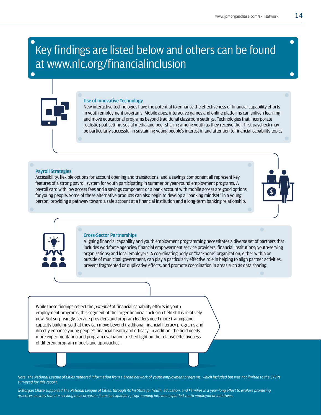# Key findings are listed below and others can be found at www.nlc.org/financialinclusion

### **Use of Innovative Technology**

New interactive technologies have the potential to enhance the effectiveness of financial capability efforts in youth employment programs. Mobile apps, interactive games and online platforms can enliven learning and move educational programs beyond traditional classroom settings. Technologies that incorporate realistic goal-setting, social media and peer sharing among youth as they receive their first paycheck may be particularly successful in sustaining young people's interest in and attention to financial capability topics.

### **Payroll Strategies**

Accessibility, flexible options for account opening and transactions, and a savings component all represent key features of a strong payroll system for youth participating in summer or year-round employment programs. A payroll card with low access fees and a savings component or a bank account with mobile access are good options for young people. Some of these alternative products can also begin to develop a "banking mindset" in a young person, providing a pathway toward a safe account at a financial institution and a long-term banking relationship.



Aligning financial capability and youth employment programming necessitates a diverse set of partners that includes workforce agencies; financial empowerment service providers; financial institutions; youth-serving organizations; and local employers. A coordinating body or "backbone" organization, either within or outside of municipal government, can play a particularly effective role in helping to align partner activities, prevent fragmented or duplicative efforts, and promote coordination in areas such as data sharing.

While these findings reflect the *potential* of financial capability efforts in youth employment programs, this segment of the larger financial inclusion field still is relatively new. Not surprisingly, service providers and program leaders need more training and capacity building so that they can move beyond traditional financial literacy programs and directly enhance young people's financial health and efficacy. In addition, the field needs more experimentation and program evaluation to shed light on the relative effectiveness of different program models and approaches.

*Note: The National League of Cities gathered information from a broad network of youth employment programs, which included but was not limited to the SYEPs surveyed for this report.*

*JPMorgan Chase supported The National League of Cities, through its Institute for Youth, Education, and Families in a year-long effort to explore promising practices in cities that are seeking to incorporate financial capability programming into municipal-led youth employment initiatives.*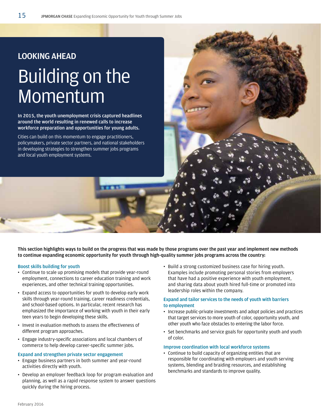# **LOOKING AHEAD** Building on the **Momentum**

**In 2015, the youth unemployment crisis captured headlines around the world resulting in renewed calls to increase workforce preparation and opportunities for young adults.** 

Cities can build on this momentum to engage practitioners, policymakers, private sector partners, and national stakeholders in developing strategies to strengthen summer jobs programs and local youth employment systems.

**This section highlights ways to build on the progress that was made by those programs over the past year and implement new methods to continue expanding economic opportunity for youth through high-quality summer jobs programs across the country:** 

#### **Boost skills building for youth**

- Continue to scale up promising models that provide year-round employment, connections to career education training and work experiences, and other technical training opportunities.
- Expand access to opportunities for youth to develop early work skills through year-round training, career readiness credentials, and school-based options. In particular, recent research has emphasized the importance of working with youth in their early teen years to begin developing these skills.
- Invest in evaluation methods to assess the effectiveness of different program approaches.
- Engage industry-specific associations and local chambers of commerce to help develop career-specific summer jobs.

#### **Expand and strengthen private sector engagement**

- Engage business partners in both summer and year-round activities directly with youth.
- Develop an employer feedback loop for program evaluation and planning, as well as a rapid response system to answer questions quickly during the hiring process.

• Build a strong customized business case for hiring youth. Examples include promoting personal stories from employers that have had a positive experience with youth employment, and sharing data about youth hired full-time or promoted into leadership roles within the company.

### **Expand and tailor services to the needs of youth with barriers to employment**

- Increase public-private investments and adopt policies and practices that target services to more youth of color, opportunity youth, and other youth who face obstacles to entering the labor force.
- Set benchmarks and service goals for opportunity youth and youth of color.

### **Improve coordination with local workforce systems**

• Continue to build capacity of organizing entities that are responsible for coordinating with employers and youth serving systems, blending and braiding resources, and establishing benchmarks and standards to improve quality.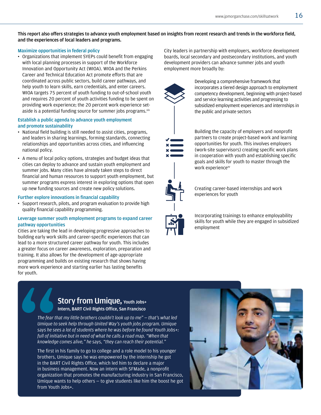### **This report also offers strategies to advance youth employment based on insights from recent research and trends in the workforce field, and the experiences of local leaders and programs.**

### **Maximize opportunities in federal policy**

• Organizations that implement SYEPs could benefit from engaging with local planning processes in support of the Workforce Innovation and Opportunity Act (WIOA). WIOA and the Perkins Career and Technical Education Act promote efforts that are coordinated across public sectors, build career pathways, and help youth to learn skills, earn credentials, and enter careers. WIOA targets 75 percent of youth funding to out-of-school youth and requires 20 percent of youth activities funding to be spent on providing work experience; the 20 percent work experience setaside is a potential funding source for summer jobs programs. xiv

### **Establish a public agenda to advance youth employment and promote sustainability**

- National field building is still needed to assist cities, programs, and leaders in sharing learnings, forming standards, connecting relationships and opportunities across cities, and influencing national policy.
- A menu of local policy options, strategies and budget ideas that cities can deploy to advance and sustain youth employment and summer jobs. Many cities have already taken steps to direct financial and human resources to support youth employment, but summer programs express interest in exploring options that open up new funding sources and create new policy solutions.

### **Further explore innovations in financial capability**

• Support research, pilots, and program evaluation to provide high quality financial capability programming.

### **Leverage summer youth employment programs to expand career pathway opportunities**

Cities are taking the lead in developing progressive approaches to building early work skills and career-specific experiences that can lead to a more structured career pathway for youth. This includes a greater focus on career awareness, exploration, preparation and training. It also allows for the development of age-appropriate programming and builds on existing research that shows having more work experience and starting earlier has lasting benefits for youth.

City leaders in partnership with employers, workforce development boards, local secondary and postsecondary institutions, and youth development providers can advance summer jobs and youth employment more broadly by:



Developing a comprehensive framework that incorporates a tiered design approach to employment competency development, beginning with project-based and service learning activities and progressing to subsidized employment experiences and internships in the public and private sectors



Building the capacity of employers and nonprofit partners to create project-based work and learning opportunities for youth. This involves employers (work-site supervisors) creating specific work plans in cooperation with youth and establishing specific goals and skills for youth to master through the work experience<sup>xv</sup>



Creating career-based internships and work experiences for youth

Incorporating trainings to enhance employability skills for youth while they are engaged in subsidized employment

# **Story from Umique, Youth Jobs+**

**Intern, BART Civil Rights Office, San Francisco** 

*The fear that my little brothers couldn't look up to me" — that's what led Umique to seek help through United Way's youth jobs program. Umique says he sees a lot of students where he was before he found Youth Jobs+: full of initiative but in need of what he calls a road map. "When that knowledge comes alive," he says, "they can reach their potential."* 

The first in his family to go to college and a role model to his younger brothers, Umique says he was empowered by the internship he got in the BART Civil Rights Office, which led him to declare a major in business management. Now an intern with SFMade, a nonprofit organization that promotes the manufacturing industry in San Francisco, Umique wants to help others — to give students like him the boost he got from Youth Jobs+.

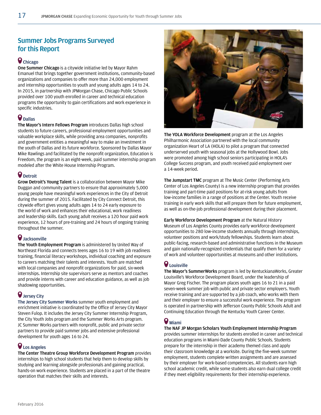# **Summer Jobs Programs Surveyed for this Report**

# **Chicago**

**One Summer Chicago** is a citywide initiative led by Mayor Rahm Emanuel that brings together government institutions, community-based organizations and companies to offer more than 24,000 employment and internship opportunities to youth and young adults ages 14 to 24. In 2015, in partnership with JPMorgan Chase, Chicago Public Schools provided over 100 youth enrolled in career and technical education programs the opportunity to gain certifications and work experience in specific industries.

## **Dallas**

**The Mayor's Intern Fellows Program** introduces Dallas high school students to future careers, professional employment opportunities and valuable workplace skills, while providing area companies, nonprofits and government entities a meaningful way to make an investment in the youth of Dallas and its future workforce. Sponsored by Dallas Mayor Mike Rawlings and facilitated by the nonprofit organization, Education is Freedom, the program is an eight-week, paid summer internship program modeled after the White House Internship Program.

## **Detroit**

**Grow Detroit's Young Talent** is a collaboration between Mayor Mike Duggan and community partners to ensure that approximately 5,000 young people have meaningful work experiences in the City of Detroit during the summer of 2015. Facilitated by City Connect Detroit, this citywide effort gives young adults ages 14 to 24 early exposure to the world of work and enhances their educational, work readiness and leadership skills. Each young adult receives a 120 hour paid work experience, 12 hours of pre-training and 24 hours of ongoing training throughout the summer.

## **Jacksonville**

**The Youth Employment Program** is administered by United Way of Northeast Florida and connects teens ages 16 to 19 with job readiness training, financial literacy workshops, individual coaching and exposure to careers matching their talents and interests. Youth are matched with local companies and nonprofit organizations for paid, six-week internships. Internship site supervisors serve as mentors and coaches and provide interns with career and education guidance, as well as job shadowing opportunities.

# **Jersey City**

**The Jersey City Summer Works** summer youth employment and enrichment initiative is coordinated by the Office of Jersey City Mayor Steven Fulop. It includes the Jersey City Summer Internship Program, the City Youth Jobs program and the Summer Works Arts program. JC Summer Works partners with nonprofit, public and private sector partners to provide paid summer jobs and extensive professional development for youth ages 16 to 24.

### **Los Angeles**

**The Center Theatre Group Workforce Development Program** provides internships to high school students that help them to develop skills by studying and learning alongside professionals and gaining practical, hands-on work experience. Students are placed in a part of the theatre operation that matches their skills and interests.



**The YOLA Workforce Development** program at the Los Angeles Philharmonic Association partnered with the local community organization Heart of LA (HOLA) to pilot a program that connected underserved youth with seasonal jobs at the Hollywood Bowl. Jobs were promoted among high school seniors participating in HOLA's College Success program, and youth received paid employment over a 14-week period.

**The Jumpstart TMC** program at The Music Center (Performing Arts Center of Los Angeles County) is a new internship program that provides training and part-time paid positions for at-risk young adults from low-income families in a range of positions at the Center. Youth receive training in early work skills that will prepare them for future employment, as well as on-the-job professional development during their placement.

**Early Workforce Development Program** at the Natural History Museum of Los Angeles County provides early workforce development opportunities to 280 low-income students annually through internships, volunteer positions and work/study fellowships. Students learn about public-facing, research-based and administrative functions in the Museum and gain nationally-recognized credentials that qualify them for a variety of work and volunteer opportunities at museums and other institutions.

# **Louisville**

**The Mayor's SummerWorks** program is led by KentuckianaWorks, Greater Louisville's Workforce Development Board, under the leadership of Mayor Greg Fischer. The program places youth ages 16 to 21 in a paid seven-week summer job with public and private sector employers. Youth receive training and are supported by a job coach, who works with them and their employer to ensure a successful work experience. The program is operated in partnership with Jefferson County Public Schools Adult and Continuing Education through the Kentucky Youth Career Center.

## **Miami**

**The NAF JP Morgan Scholars Youth Employment Internship Program** provides summer internships for students enrolled in career and technical education programs in Miami-Dade County Public Schools. Students prepare for the internship in their academy themed class and apply their classroom knowledge at a worksite. During the five-week summer employment, students complete written assignments and are assessed by their employer for work-based competencies. All students earn high school academic credit, while some students also earn dual college credit if they meet eligibility requirements for their internship experience.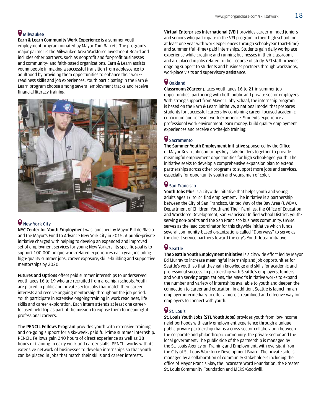# $\bullet$  Milwaukee

**Earn & Learn Community Work Experience** is a summer youth employment program initiated by Mayor Tom Barrett. The program's major partner is the Milwaukee Area Workforce Investment Board and includes other partners, such as nonprofit and for-profit businesses and community- and faith-based organizations. Earn & Learn assists young people in making a successful transition from adolescence to adulthood by providing them opportunities to enhance their workreadiness skills and job experiences. Youth participating in the Earn & Learn program choose among several employment tracks and receive financial literacy training.



# **New York City**

**NYC Center for Youth Employment** was launched by Mayor Bill de Blasio and the Mayor's Fund to Advance New York City in 2015. A public–private initiative charged with helping to develop an expanded and improved set of employment services for young New Yorkers, its specific goal is to support 100,000 unique work-related experiences each year, including high-quality summer jobs, career exposure, skills-building and supportive mentorships by 2020.

**Futures and Options** offers paid summer internships to underserved youth ages 16 to 19 who are recruited from area high schools. Youth are placed in public and private sector jobs that match their career interests and receive ongoing mentorship throughout the job period. Youth participate in extensive ongoing training in work readiness, life skills and career exploration. Each intern attends at least one careerfocused field trip as part of the mission to expose them to meaningful professional careers.

**The PENCIL Fellows Program** provides youth with extensive training and on-going support for a six-week, paid full-time summer internship. PENCIL Fellows gain 240 hours of direct experience as well as 38 hours of training in early work and career skills. PENCIL works with its extensive network of businesses to develop internships so that youth can be placed in jobs that match their skills and career interests.

**Virtual Enterprises International (VEI)** provides career-minded juniors and seniors who participate in the VEI program in their high school for at least one year with work experiences through school-year (part-time) and summer (full-time) paid internships. Students gain daily workplace experience while creating and running businesses in their classroom, and are placed in jobs related to their course of study. VEI staff provides ongoing support to students and business partners through workshops, workplace visits and supervisory assistance.

# **Oakland**

**Classrooms2Career** places youth ages 16 to 21 in summer job opportunities, partnering with both public and private sector employers. With strong support from Mayor Libby Schaaf, the internship program is based on the Earn & Learn initiative, a national model that prepares students for successful careers by combining career-focused academic curriculum and relevant work experience. Students experience a professional work environment, earn money, build quality employment experiences and receive on-the-job training.

## **Sacramento**

**The Summer Youth Employment Initiative** sponsored by the Office of Mayor Kevin Johnson brings key stakeholders together to provide meaningful employment opportunities for high school-aged youth. The initiative seeks to develop a comprehensive expansion plan to extend partnerships across other programs to support more jobs and services, especially for opportunity youth and young men of color.

### **San Francisco**

**Youth Jobs Plus** is a citywide initiative that helps youth and young adults ages 16 to 24 find employment. The initiative is a partnership between the City of San Francisco, United Way of the Bay Area (UWBA), Department of Children, Youth and Their Families, the Office of Education and Workforce Development, San Francisco Unified School District, youthserving non-profits and the San Francisco business community. UWBA serves as the lead coordinator for this citywide initiative which funds several community-based organizations called "Doorways" to serve as the direct service partners toward the city's Youth Jobs+ initiative.

# **Seattle**

**The Seattle Youth Employment Initiative** is a citywide effort led by Mayor Ed Murray to increase meaningful internship and job opportunities for Seattle's youth so that they gain knowledge and skills for academic and professional success. In partnership with Seattle's employers, funders, and youth serving organizations, the Mayor's initiative works to expand the number and variety of internships available to youth and deepen the connection to career and education. In addition, Seattle is launching an employer intermediary to offer a more streamlined and effective way for employers to connect with youth.

## **St. Louis**

**St. Louis Youth Jobs (STL Youth Jobs)** provides youth from low-income neighborhoods with early employment experience through a unique public-private partnership that is a cross-sector collaboration between the corporate and philanthropic community, the private sector and the local government. The public side of the partnership is managed by the St. Louis Agency on Training and Employment, with oversight from the City of St. Louis Workforce Development Board. The private side is managed by a collaboration of community stakeholders including the office of Mayor Francis Slay, the Incarnate Word Foundation, the Greater St. Louis Community Foundation and MERS/Goodwill.